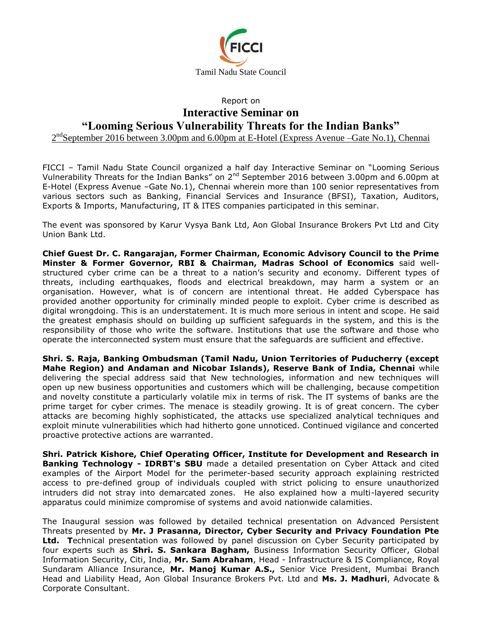

## Report on **Interactive Seminar on "Looming Serious Vulnerability Threats for the Indian Banks"**

2<sup>nd</sup>September 2016 between 3.00pm and 6.00pm at E-Hotel (Express Avenue –Gate No.1), Chennai

FICCI – Tamil Nadu State Council organized a half day Interactive Seminar on "Looming Serious Vulnerability Threats for the Indian Banks" on 2<sup>nd</sup> September 2016 between 3.00pm and 6.00pm at E-Hotel (Express Avenue –Gate No.1), Chennai wherein more than 100 senior representatives from various sectors such as Banking, Financial Services and Insurance (BFSI), Taxation, Auditors, Exports & Imports, Manufacturing, IT & ITES companies participated in this seminar.

The event was sponsored by Karur Vysya Bank Ltd, Aon Global Insurance Brokers Pvt Ltd and City Union Bank Ltd.

**Chief Guest Dr. C. Rangarajan, Former Chairman, Economic Advisory Council to the Prime Minster & Former Governor, RBI & Chairman, Madras School of Economics** said wellstructured cyber crime can be a threat to a nation's security and economy. Different types of threats, including earthquakes, floods and electrical breakdown, may harm a system or an organisation. However, what is of concern are intentional threat. He added Cyberspace has provided another opportunity for criminally minded people to exploit. Cyber crime is described as digital wrongdoing. This is an understatement. It is much more serious in intent and scope. He said the greatest emphasis should on building up sufficient safeguards in the system, and this is the responsibility of those who write the software. Institutions that use the software and those who operate the interconnected system must ensure that the safeguards are sufficient and effective.

**Shri. S. Raja, Banking Ombudsman (Tamil Nadu, Union Territories of Puducherry (except Mahe Region) and Andaman and Nicobar Islands), Reserve Bank of India, Chennai** while delivering the special address said that New technologies, information and new techniques will open up new business opportunities and customers which will be challenging, because competition and novelty constitute a particularly volatile mix in terms of risk. The IT systems of banks are the prime target for cyber crimes. The menace is steadily growing. It is of great concern. The cyber attacks are becoming highly sophisticated, the attacks use specialized analytical techniques and exploit minute vulnerabilities which had hitherto gone unnoticed. Continued vigilance and concerted proactive protective actions are warranted.

**Shri. Patrick Kishore, Chief Operating Officer, Institute for Development and Research in Banking Technology - IDRBT's SBU** made a detailed presentation on Cyber Attack and cited examples of the Airport Model for the perimeter-based security approach explaining restricted access to pre-defined group of individuals coupled with strict policing to ensure unauthorized intruders did not stray into demarcated zones. He also explained how a multi-layered security apparatus could minimize compromise of systems and avoid nationwide calamities.

The Inaugural session was followed by detailed technical presentation on Advanced Persistent Threats presented by **Mr. J Prasanna, Director, Cyber Security and Privacy Foundation Pte Ltd. T**echnical presentation was followed by panel discussion on Cyber Security participated by four experts such as **Shri. S. Sankara Bagham,** Business Information Security Officer, Global Information Security, Citi, India, **Mr. Sam Abraham**, Head - Infrastructure & IS Compliance, Royal Sundaram Alliance Insurance, **Mr. Manoj Kumar A.S.,** Senior Vice President, Mumbai Branch Head and Liability Head, Aon Global Insurance Brokers Pvt. Ltd and **Ms. J. Madhuri**, Advocate & Corporate Consultant.